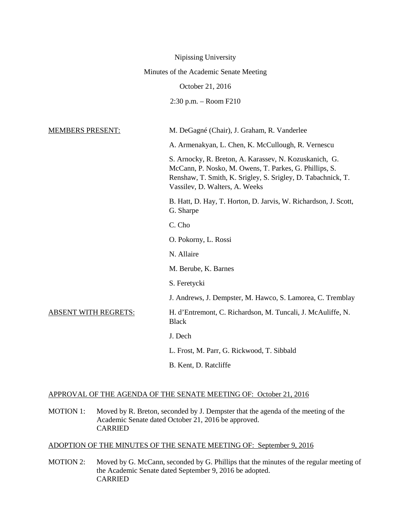|                                        | Nipissing University                                                                                                                                                                                               |
|----------------------------------------|--------------------------------------------------------------------------------------------------------------------------------------------------------------------------------------------------------------------|
| Minutes of the Academic Senate Meeting |                                                                                                                                                                                                                    |
|                                        | October 21, 2016                                                                                                                                                                                                   |
|                                        | $2:30$ p.m. $-$ Room F210                                                                                                                                                                                          |
|                                        |                                                                                                                                                                                                                    |
| <b>MEMBERS PRESENT:</b>                | M. DeGagné (Chair), J. Graham, R. Vanderlee                                                                                                                                                                        |
|                                        | A. Armenakyan, L. Chen, K. McCullough, R. Vernescu                                                                                                                                                                 |
|                                        | S. Arnocky, R. Breton, A. Karassev, N. Kozuskanich, G.<br>McCann, P. Nosko, M. Owens, T. Parkes, G. Phillips, S.<br>Renshaw, T. Smith, K. Srigley, S. Srigley, D. Tabachnick, T.<br>Vassilev, D. Walters, A. Weeks |
|                                        | B. Hatt, D. Hay, T. Horton, D. Jarvis, W. Richardson, J. Scott,<br>G. Sharpe                                                                                                                                       |
|                                        | C. Cho                                                                                                                                                                                                             |
|                                        | O. Pokorny, L. Rossi                                                                                                                                                                                               |
|                                        | N. Allaire                                                                                                                                                                                                         |
|                                        | M. Berube, K. Barnes                                                                                                                                                                                               |
|                                        | S. Feretycki                                                                                                                                                                                                       |
|                                        | J. Andrews, J. Dempster, M. Hawco, S. Lamorea, C. Tremblay                                                                                                                                                         |
| <u>ABSENT WITH REGRETS:</u>            | H. d'Entremont, C. Richardson, M. Tuncali, J. McAuliffe, N.<br><b>Black</b>                                                                                                                                        |
|                                        | J. Dech                                                                                                                                                                                                            |
|                                        | L. Frost, M. Parr, G. Rickwood, T. Sibbald                                                                                                                                                                         |
|                                        | B. Kent, D. Ratcliffe                                                                                                                                                                                              |

# APPROVAL OF THE AGENDA OF THE SENATE MEETING OF: October 21, 2016

MOTION 1: Moved by R. Breton, seconded by J. Dempster that the agenda of the meeting of the Academic Senate dated October 21, 2016 be approved. CARRIED

ADOPTION OF THE MINUTES OF THE SENATE MEETING OF: September 9, 2016

MOTION 2: Moved by G. McCann, seconded by G. Phillips that the minutes of the regular meeting of the Academic Senate dated September 9, 2016 be adopted. CARRIED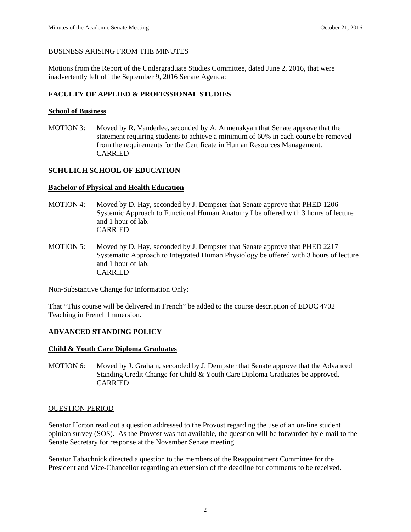### BUSINESS ARISING FROM THE MINUTES

Motions from the Report of the Undergraduate Studies Committee, dated June 2, 2016, that were inadvertently left off the September 9, 2016 Senate Agenda:

# **FACULTY OF APPLIED & PROFESSIONAL STUDIES**

# **School of Business**

MOTION 3: Moved by R. Vanderlee, seconded by A. Armenakyan that Senate approve that the statement requiring students to achieve a minimum of 60% in each course be removed from the requirements for the Certificate in Human Resources Management. CARRIED

# **SCHULICH SCHOOL OF EDUCATION**

#### **Bachelor of Physical and Health Education**

- MOTION 4: Moved by D. Hay, seconded by J. Dempster that Senate approve that PHED 1206 Systemic Approach to Functional Human Anatomy I be offered with 3 hours of lecture and 1 hour of lab. CARRIED
- MOTION 5: Moved by D. Hay, seconded by J. Dempster that Senate approve that PHED 2217 Systematic Approach to Integrated Human Physiology be offered with 3 hours of lecture and 1 hour of lab. CARRIED

Non-Substantive Change for Information Only:

That "This course will be delivered in French" be added to the course description of EDUC 4702 Teaching in French Immersion.

# **ADVANCED STANDING POLICY**

# **Child & Youth Care Diploma Graduates**

MOTION 6: Moved by J. Graham, seconded by J. Dempster that Senate approve that the Advanced Standing Credit Change for Child & Youth Care Diploma Graduates be approved. CARRIED

#### QUESTION PERIOD

Senator Horton read out a question addressed to the Provost regarding the use of an on-line student opinion survey (SOS). As the Provost was not available, the question will be forwarded by e-mail to the Senate Secretary for response at the November Senate meeting.

Senator Tabachnick directed a question to the members of the Reappointment Committee for the President and Vice-Chancellor regarding an extension of the deadline for comments to be received.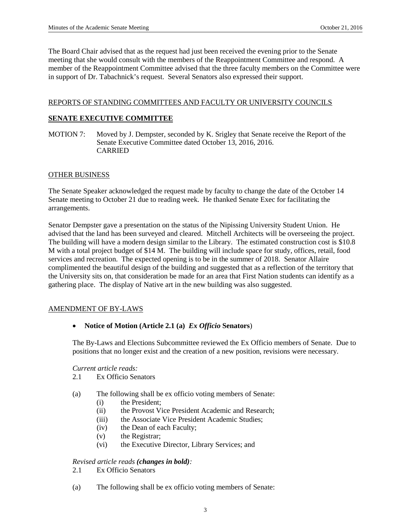The Board Chair advised that as the request had just been received the evening prior to the Senate meeting that she would consult with the members of the Reappointment Committee and respond. A member of the Reappointment Committee advised that the three faculty members on the Committee were in support of Dr. Tabachnick's request. Several Senators also expressed their support.

### REPORTS OF STANDING COMMITTEES AND FACULTY OR UNIVERSITY COUNCILS

### **SENATE EXECUTIVE COMMITTEE**

MOTION 7: Moved by J. Dempster, seconded by K. Srigley that Senate receive the Report of the Senate Executive Committee dated October 13, 2016, 2016. CARRIED

#### OTHER BUSINESS

The Senate Speaker acknowledged the request made by faculty to change the date of the October 14 Senate meeting to October 21 due to reading week. He thanked Senate Exec for facilitating the arrangements.

Senator Dempster gave a presentation on the status of the Nipissing University Student Union. He advised that the land has been surveyed and cleared. Mitchell Architects will be overseeing the project. The building will have a modern design similar to the Library. The estimated construction cost is \$10.8 M with a total project budget of \$14 M. The building will include space for study, offices, retail, food services and recreation. The expected opening is to be in the summer of 2018. Senator Allaire complimented the beautiful design of the building and suggested that as a reflection of the territory that the University sits on, that consideration be made for an area that First Nation students can identify as a gathering place. The display of Native art in the new building was also suggested.

#### AMENDMENT OF BY-LAWS

#### • **Notice of Motion (Article 2.1 (a)** *Ex Officio* **Senators**)

The By-Laws and Elections Subcommittee reviewed the Ex Officio members of Senate. Due to positions that no longer exist and the creation of a new position, revisions were necessary.

#### *Current article reads:*

- 2.1 Ex Officio Senators
- (a) The following shall be ex officio voting members of Senate:
	- (i) the President;
	- (ii) the Provost Vice President Academic and Research;
	- (iii) the Associate Vice President Academic Studies;
	- (iv) the Dean of each Faculty;
	- (v) the Registrar;
	- (vi) the Executive Director, Library Services; and

#### *Revised article reads (changes in bold):*

- 2.1 Ex Officio Senators
- (a) The following shall be ex officio voting members of Senate: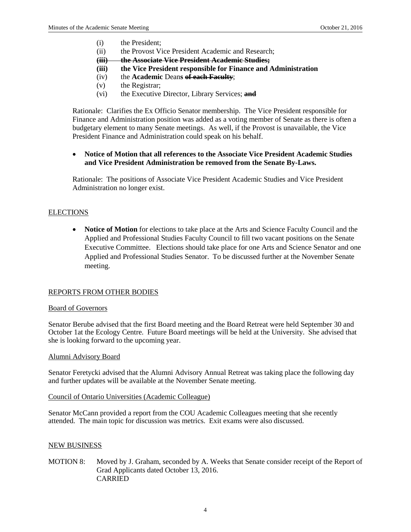- (i) the President;
- (ii) the Provost Vice President Academic and Research;
- **(iii) the Associate Vice President Academic Studies;**
- **(iii) the Vice President responsible for Finance and Administration**
- (iv) the **Academic** Dean**s of each Faculty**;
- (v) the Registrar;
- (vi) the Executive Director, Library Services; **and**

Rationale: Clarifies the Ex Officio Senator membership. The Vice President responsible for Finance and Administration position was added as a voting member of Senate as there is often a budgetary element to many Senate meetings. As well, if the Provost is unavailable, the Vice President Finance and Administration could speak on his behalf.

### • **Notice of Motion that all references to the Associate Vice President Academic Studies and Vice President Administration be removed from the Senate By-Laws.**

Rationale: The positions of Associate Vice President Academic Studies and Vice President Administration no longer exist.

# **ELECTIONS**

• **Notice of Motion** for elections to take place at the Arts and Science Faculty Council and the Applied and Professional Studies Faculty Council to fill two vacant positions on the Senate Executive Committee. Elections should take place for one Arts and Science Senator and one Applied and Professional Studies Senator. To be discussed further at the November Senate meeting.

#### REPORTS FROM OTHER BODIES

#### Board of Governors

Senator Berube advised that the first Board meeting and the Board Retreat were held September 30 and October 1at the Ecology Centre. Future Board meetings will be held at the University. She advised that she is looking forward to the upcoming year.

#### Alumni Advisory Board

Senator Feretycki advised that the Alumni Advisory Annual Retreat was taking place the following day and further updates will be available at the November Senate meeting.

#### Council of Ontario Universities (Academic Colleague)

Senator McCann provided a report from the COU Academic Colleagues meeting that she recently attended. The main topic for discussion was metrics. Exit exams were also discussed.

#### NEW BUSINESS

MOTION 8: Moved by J. Graham, seconded by A. Weeks that Senate consider receipt of the Report of Grad Applicants dated October 13, 2016. CARRIED